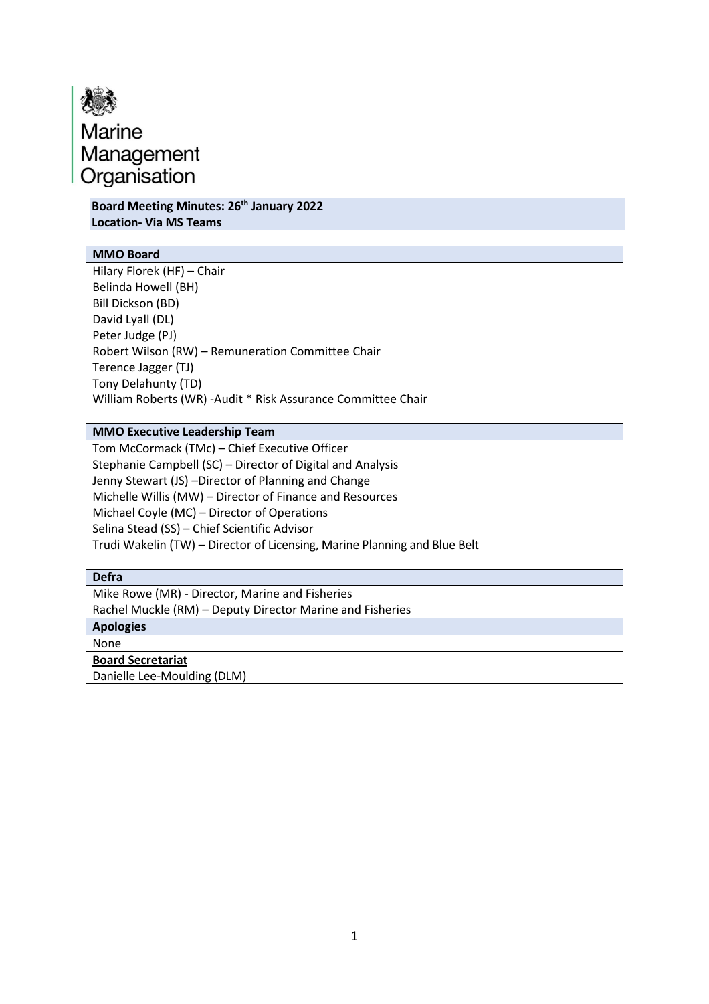

**Board Meeting Minutes: 26th January 2022 Location- Via MS Teams**

## **MMO Board**

Hilary Florek (HF) – Chair Belinda Howell (BH) Bill Dickson (BD) David Lyall (DL) Peter Judge (PJ) Robert Wilson (RW) – Remuneration Committee Chair Terence Jagger (TJ) Tony Delahunty (TD) William Roberts (WR) -Audit \* Risk Assurance Committee Chair

### **MMO Executive Leadership Team**

Tom McCormack (TMc) – Chief Executive Officer Stephanie Campbell (SC) – Director of Digital and Analysis Jenny Stewart (JS) –Director of Planning and Change Michelle Willis (MW) – Director of Finance and Resources Michael Coyle (MC) – Director of Operations Selina Stead (SS) – Chief Scientific Advisor Trudi Wakelin (TW) – Director of Licensing, Marine Planning and Blue Belt

#### **Defra**

Mike Rowe (MR) - Director, Marine and Fisheries

Rachel Muckle (RM) – Deputy Director Marine and Fisheries

**Apologies**

None

**Board Secretariat**

Danielle Lee-Moulding (DLM)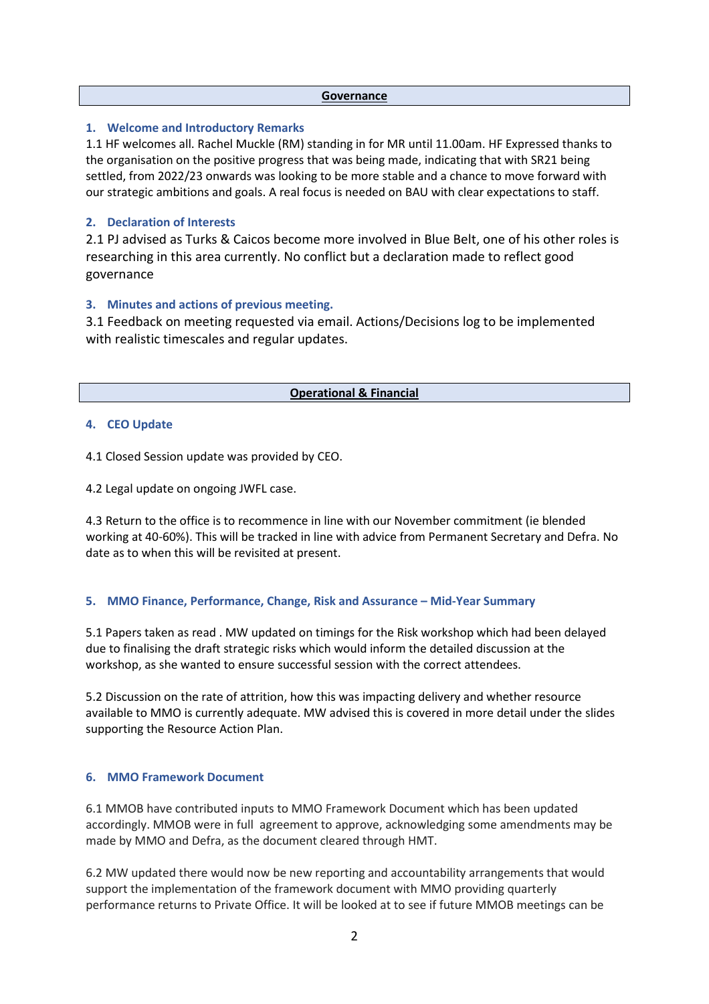#### **Governance**

## **1. Welcome and Introductory Remarks**

1.1 HF welcomes all. Rachel Muckle (RM) standing in for MR until 11.00am. HF Expressed thanks to the organisation on the positive progress that was being made, indicating that with SR21 being settled, from 2022/23 onwards was looking to be more stable and a chance to move forward with our strategic ambitions and goals. A real focus is needed on BAU with clear expectations to staff.

## **2. Declaration of Interests**

2.1 PJ advised as Turks & Caicos become more involved in Blue Belt, one of his other roles is researching in this area currently. No conflict but a declaration made to reflect good governance

### **3. Minutes and actions of previous meeting.**

3.1 Feedback on meeting requested via email. Actions/Decisions log to be implemented with realistic timescales and regular updates.

#### **Operational & Financial**

### **4. CEO Update**

4.1 Closed Session update was provided by CEO.

4.2 Legal update on ongoing JWFL case.

4.3 Return to the office is to recommence in line with our November commitment (ie blended working at 40-60%). This will be tracked in line with advice from Permanent Secretary and Defra. No date as to when this will be revisited at present.

## **5. MMO Finance, Performance, Change, Risk and Assurance – Mid-Year Summary**

5.1 Papers taken as read . MW updated on timings for the Risk workshop which had been delayed due to finalising the draft strategic risks which would inform the detailed discussion at the workshop, as she wanted to ensure successful session with the correct attendees.

5.2 Discussion on the rate of attrition, how this was impacting delivery and whether resource available to MMO is currently adequate. MW advised this is covered in more detail under the slides supporting the Resource Action Plan.

## **6. MMO Framework Document**

6.1 MMOB have contributed inputs to MMO Framework Document which has been updated accordingly. MMOB were in full agreement to approve, acknowledging some amendments may be made by MMO and Defra, as the document cleared through HMT.

6.2 MW updated there would now be new reporting and accountability arrangements that would support the implementation of the framework document with MMO providing quarterly performance returns to Private Office. It will be looked at to see if future MMOB meetings can be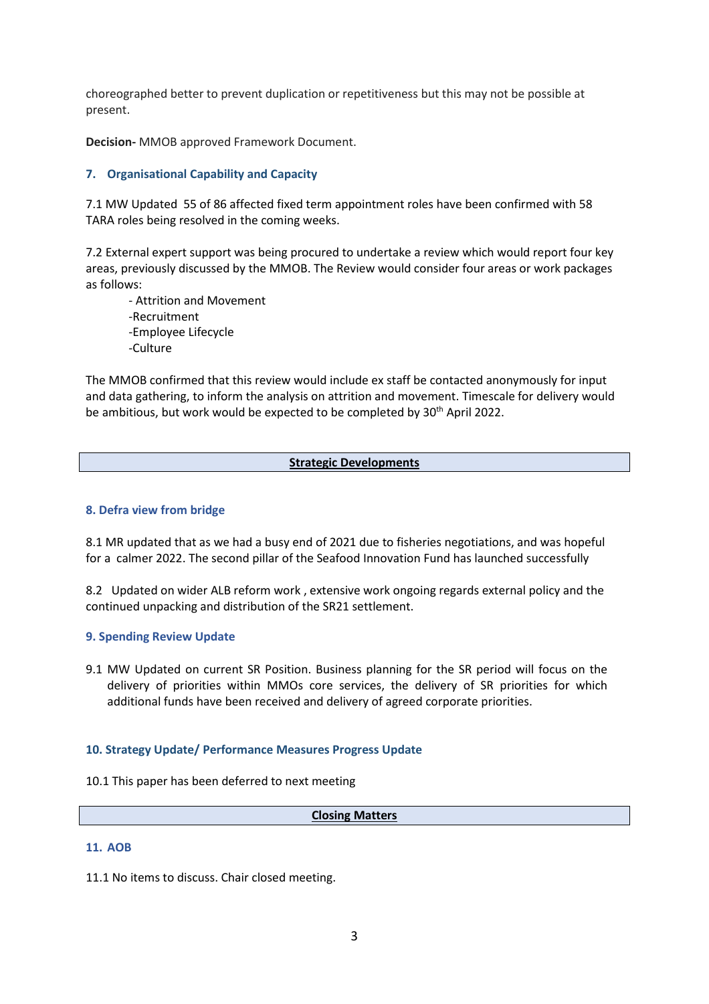choreographed better to prevent duplication or repetitiveness but this may not be possible at present.

**Decision-** MMOB approved Framework Document.

## **7. Organisational Capability and Capacity**

7.1 MW Updated 55 of 86 affected fixed term appointment roles have been confirmed with 58 TARA roles being resolved in the coming weeks.

7.2 External expert support was being procured to undertake a review which would report four key areas, previously discussed by the MMOB. The Review would consider four areas or work packages as follows:

- Attrition and Movement -Recruitment -Employee Lifecycle -Culture

The MMOB confirmed that this review would include ex staff be contacted anonymously for input and data gathering, to inform the analysis on attrition and movement. Timescale for delivery would be ambitious, but work would be expected to be completed by 30<sup>th</sup> April 2022.

## **Strategic Developments**

#### **8. Defra view from bridge**

8.1 MR updated that as we had a busy end of 2021 due to fisheries negotiations, and was hopeful for a calmer 2022. The second pillar of the Seafood Innovation Fund has launched successfully

8.2 Updated on wider ALB reform work , extensive work ongoing regards external policy and the continued unpacking and distribution of the SR21 settlement.

#### **9. Spending Review Update**

9.1 MW Updated on current SR Position. Business planning for the SR period will focus on the delivery of priorities within MMOs core services, the delivery of SR priorities for which additional funds have been received and delivery of agreed corporate priorities.

#### **10. Strategy Update/ Performance Measures Progress Update**

10.1 This paper has been deferred to next meeting

#### **Closing Matters**

### **11. AOB**

11.1 No items to discuss. Chair closed meeting.